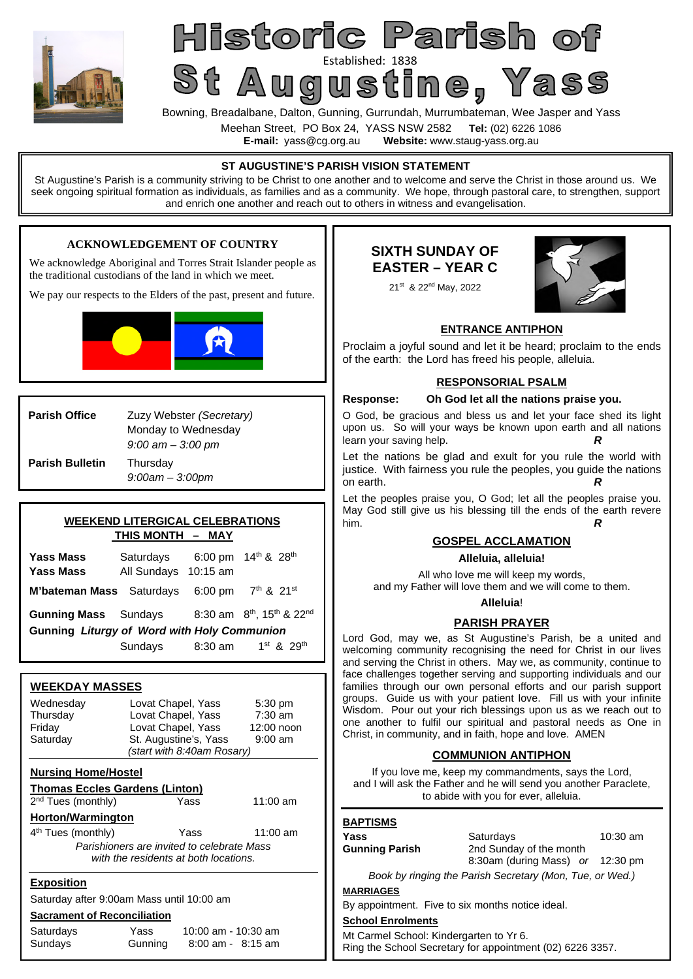

# Established: 1838<br>Bowning, Breadalbane, Dalton, Gunning, Gurrundah, Murrumbateman, Wee Jasper and Yass Historic Parish of

Meehan Street, PO Box 24, YASS NSW 2582 **Tel:** (02) 6226 1086

**Website:** www.staug-yass.org.au

| ∟-man. yass⊛cy.org.au<br>website. www.staug-yass.org.au                                                                                                                                                                               |                                                                                                                                                                          |                                                                                                                                                                                                                                                                                                                                                                                                            |  |  |
|---------------------------------------------------------------------------------------------------------------------------------------------------------------------------------------------------------------------------------------|--------------------------------------------------------------------------------------------------------------------------------------------------------------------------|------------------------------------------------------------------------------------------------------------------------------------------------------------------------------------------------------------------------------------------------------------------------------------------------------------------------------------------------------------------------------------------------------------|--|--|
|                                                                                                                                                                                                                                       |                                                                                                                                                                          | ST AUGUSTINE'S PARISH VISION STATEMENT<br>St Augustine's Parish is a community striving to be Christ to one another and to welcome and serve the Christ in those around us. We<br>seek ongoing spiritual formation as individuals, as families and as a community. We hope, through pastoral care, to strengthen, support<br>and enrich one another and reach out to others in witness and evangelisation. |  |  |
|                                                                                                                                                                                                                                       |                                                                                                                                                                          |                                                                                                                                                                                                                                                                                                                                                                                                            |  |  |
| <b>ACKNOWLEDGEMENT OF COUNTRY</b><br>We acknowledge Aboriginal and Torres Strait Islander people as<br>the traditional custodians of the land in which we meet.<br>We pay our respects to the Elders of the past, present and future. |                                                                                                                                                                          | <b>SIXTH SUNDAY OF</b><br><b>EASTER – YEAR C</b><br>21st & 22 <sup>nd</sup> May, 2022                                                                                                                                                                                                                                                                                                                      |  |  |
|                                                                                                                                                                                                                                       |                                                                                                                                                                          | <b>ENTRANCE ANTIPHON</b><br>Proclaim a joyful sound and let it be heard; proclaim to the ends<br>of the earth: the Lord has freed his people, alleluia.                                                                                                                                                                                                                                                    |  |  |
|                                                                                                                                                                                                                                       |                                                                                                                                                                          | <b>RESPONSORIAL PSALM</b>                                                                                                                                                                                                                                                                                                                                                                                  |  |  |
|                                                                                                                                                                                                                                       |                                                                                                                                                                          | Oh God let all the nations praise you.<br><b>Response:</b>                                                                                                                                                                                                                                                                                                                                                 |  |  |
| <b>Parish Office</b>                                                                                                                                                                                                                  | Zuzy Webster (Secretary)<br>Monday to Wednesday<br>$9:00$ am $-3:00$ pm                                                                                                  | O God, be gracious and bless us and let your face shed its light<br>upon us. So will your ways be known upon earth and all nations<br>learn your saving help.<br>R                                                                                                                                                                                                                                         |  |  |
| <b>Parish Bulletin</b>                                                                                                                                                                                                                | Thursday<br>$9:00am - 3:00pm$                                                                                                                                            | Let the nations be glad and exult for you rule the world with<br>justice. With fairness you rule the peoples, you guide the nations<br>on earth.                                                                                                                                                                                                                                                           |  |  |
|                                                                                                                                                                                                                                       |                                                                                                                                                                          | Let the peoples praise you, O God; let all the peoples praise you.                                                                                                                                                                                                                                                                                                                                         |  |  |
|                                                                                                                                                                                                                                       | <b>WEEKEND LITERGICAL CELEBRATIONS</b>                                                                                                                                   | May God still give us his blessing till the ends of the earth revere<br>him.<br>R                                                                                                                                                                                                                                                                                                                          |  |  |
|                                                                                                                                                                                                                                       | <b>THIS MONTH - MAY</b>                                                                                                                                                  | <b>GOSPEL ACCLAMATION</b>                                                                                                                                                                                                                                                                                                                                                                                  |  |  |
| <b>Yass Mass</b>                                                                                                                                                                                                                      | 6:00 pm $14^{th}$ & $28^{th}$<br>Saturdays                                                                                                                               | Alleluia, alleluia!                                                                                                                                                                                                                                                                                                                                                                                        |  |  |
| <b>Yass Mass</b>                                                                                                                                                                                                                      | All Sundays 10:15 am                                                                                                                                                     | All who love me will keep my words,                                                                                                                                                                                                                                                                                                                                                                        |  |  |
| M'bateman Mass Saturdays                                                                                                                                                                                                              | $7^{th}$ & $21^{st}$<br>$6:00 \text{ pm}$                                                                                                                                | and my Father will love them and we will come to them.                                                                                                                                                                                                                                                                                                                                                     |  |  |
| <b>Gunning Mass</b>                                                                                                                                                                                                                   | 8:30 am 8 <sup>th</sup> , 15 <sup>th</sup> & 22 <sup>nd</sup><br>Sundays                                                                                                 | Alleluia!                                                                                                                                                                                                                                                                                                                                                                                                  |  |  |
|                                                                                                                                                                                                                                       | Gunning Liturgy of Word with Holy Communion                                                                                                                              | <b>PARISH PRAYER</b>                                                                                                                                                                                                                                                                                                                                                                                       |  |  |
|                                                                                                                                                                                                                                       | 1 <sup>st</sup> & 29 <sup>th</sup><br>8:30 am<br>Sundays                                                                                                                 | Lord God, may we, as St Augustine's Parish, be a united and<br>welcoming community recognising the need for Christ in our lives<br>and serving the Christ in others. May we, as community, continue to                                                                                                                                                                                                     |  |  |
| <b>WEEKDAY MASSES</b>                                                                                                                                                                                                                 |                                                                                                                                                                          | face challenges together serving and supporting individuals and our<br>families through our own personal efforts and our parish support                                                                                                                                                                                                                                                                    |  |  |
| Wednesday<br>Thursday<br>Friday<br>Saturday                                                                                                                                                                                           | Lovat Chapel, Yass<br>5:30 pm<br>$7:30$ am<br>Lovat Chapel, Yass<br>Lovat Chapel, Yass<br>12:00 noon<br>St. Augustine's, Yass<br>$9:00$ am<br>(start with 8:40am Rosary) | groups. Guide us with your patient love. Fill us with your infinite<br>Wisdom. Pour out your rich blessings upon us as we reach out to<br>one another to fulfil our spiritual and pastoral needs as One in<br>Christ, in community, and in faith, hope and love. AMEN                                                                                                                                      |  |  |
|                                                                                                                                                                                                                                       |                                                                                                                                                                          | <b>COMMUNION ANTIPHON</b>                                                                                                                                                                                                                                                                                                                                                                                  |  |  |
| <b>Nursing Home/Hostel</b><br><b>Thomas Eccles Gardens (Linton)</b><br>2 <sup>nd</sup> Tues (monthly)                                                                                                                                 | 11:00 am<br>Yass                                                                                                                                                         | If you love me, keep my commandments, says the Lord,<br>and I will ask the Father and he will send you another Paraclete,<br>to abide with you for ever, alleluia.                                                                                                                                                                                                                                         |  |  |
| <b>Horton/Warmington</b>                                                                                                                                                                                                              |                                                                                                                                                                          | <b>BAPTISMS</b>                                                                                                                                                                                                                                                                                                                                                                                            |  |  |
| 4 <sup>th</sup> Tues (monthly)                                                                                                                                                                                                        | $11:00$ am<br>Yass                                                                                                                                                       | 10:30 am<br>Yass<br>Saturdays                                                                                                                                                                                                                                                                                                                                                                              |  |  |
|                                                                                                                                                                                                                                       | Parishioners are invited to celebrate Mass<br>with the residents at both locations.                                                                                      | <b>Gunning Parish</b><br>2nd Sunday of the month<br>8:30am (during Mass) or 12:30 pm                                                                                                                                                                                                                                                                                                                       |  |  |
|                                                                                                                                                                                                                                       |                                                                                                                                                                          | Book by ringing the Parish Secretary (Mon, Tue, or Wed.)                                                                                                                                                                                                                                                                                                                                                   |  |  |
| <b>Exposition</b>                                                                                                                                                                                                                     | Saturday after 9:00am Mass until 10:00 am                                                                                                                                | <b>MARRIAGES</b>                                                                                                                                                                                                                                                                                                                                                                                           |  |  |
|                                                                                                                                                                                                                                       |                                                                                                                                                                          | By appointment. Five to six months notice ideal.                                                                                                                                                                                                                                                                                                                                                           |  |  |
| <b>Sacrament of Reconciliation</b>                                                                                                                                                                                                    |                                                                                                                                                                          | <b>School Enrolments</b>                                                                                                                                                                                                                                                                                                                                                                                   |  |  |
| Saturdays<br>Sundays                                                                                                                                                                                                                  | Yass<br>10:00 am - 10:30 am<br>Gunning<br>8:00 am - 8:15 am                                                                                                              | Mt Carmel School: Kindergarten to Yr 6.<br>Ping the School Secretary for appointment (02) 6226 2357                                                                                                                                                                                                                                                                                                        |  |  |

Ring the School Secretary for appointment (02) 6226 3357.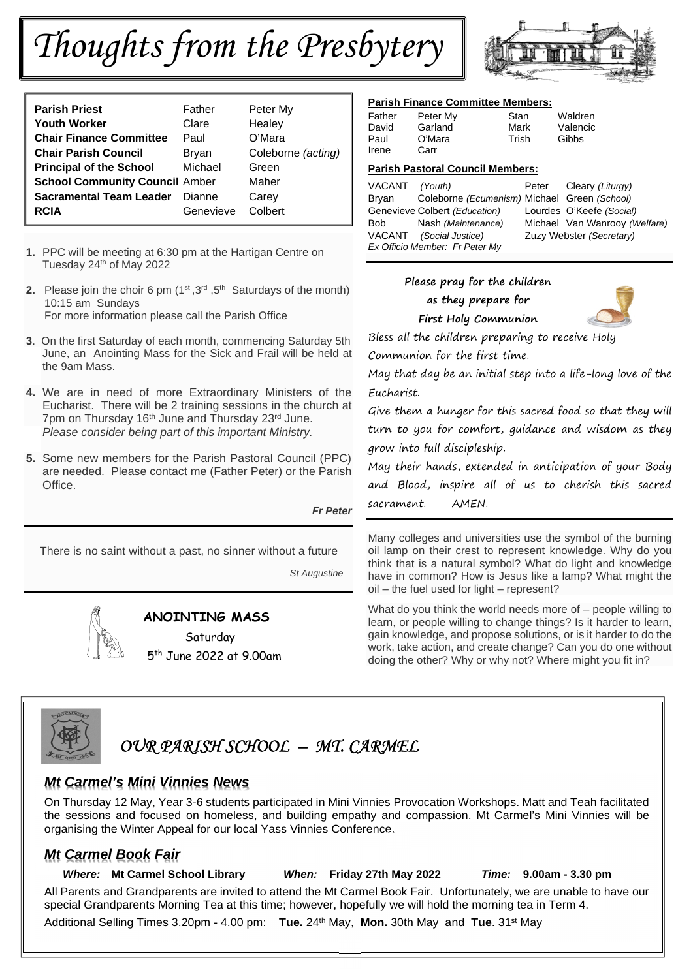# *Thoughts from the Presbytery*

| <b>Parish Priest</b>                  | Father    | Peter My           |
|---------------------------------------|-----------|--------------------|
| <b>Youth Worker</b>                   | Clare     | Healey             |
| <b>Chair Finance Committee</b>        | Paul      | O'Mara             |
| <b>Chair Parish Council</b>           | Bryan     | Coleborne (acting) |
| <b>Principal of the School</b>        | Michael   | Green              |
| <b>School Community Council Amber</b> |           | Maher              |
| <b>Sacramental Team Leader</b>        | Dianne    | Carey              |
| <b>RCIA</b>                           | Genevieve | Colbert            |

- **1.** PPC will be meeting at 6:30 pm at the Hartigan Centre on Tuesday 24<sup>th</sup> of May 2022
- **2.** Please join the choir 6 pm (1<sup>st</sup>, 3<sup>rd</sup>, 5<sup>th</sup> Saturdays of the month) 10:15 am Sundays For more information please call the Parish Office
- **3**. On the first Saturday of each month, commencing Saturday 5th June, an Anointing Mass for the Sick and Frail will be held at the 9am Mass.
- **4.** We are in need of more Extraordinary Ministers of the Eucharist. There will be 2 training sessions in the church at 7pm on Thursday 16<sup>th</sup> June and Thursday 23<sup>rd</sup> June. *Please consider being part of this important Ministry.*
- **5.** Some new members for the Parish Pastoral Council (PPC) are needed. Please contact me (Father Peter) or the Parish Office.

#### *Fr Peter*

There is no saint without a past, no sinner without a future

*St Augustine* 



# **ANOINTING MASS**

Saturday 5 th June 2022 at 9.00am



#### **Parish Finance Committee Members:**

| Father | Peter My | Stan  | Waldren  |
|--------|----------|-------|----------|
| David  | Garland  | Mark  | Valencic |
| Paul   | O'Mara   | Trish | Gibbs    |
| Irene  | Carr     |       |          |

#### **Parish Pastoral Council Members:**

| VACANT (Youth) |                                              | Peter | Cleary (Liturgy)              |
|----------------|----------------------------------------------|-------|-------------------------------|
| Bryan          | Coleborne (Ecumenism) Michael Green (School) |       |                               |
|                | Genevieve Colbert (Education)                |       | Lourdes O'Keefe (Social)      |
| Bob            | Nash (Maintenance)                           |       | Michael Van Wanrooy (Welfare) |
|                | VACANT (Social Justice)                      |       | Zuzy Webster (Secretary)      |
|                | Ex Officio Member: Fr Peter My               |       |                               |

## **Please pray for the children**

 **as they prepare for** 



Bless all the children preparing to receive Holy

Communion for the first time.

May that day be an initial step into a life-long love of the Eucharist.

Give them a hunger for this sacred food so that they will turn to you for comfort, guidance and wisdom as they grow into full discipleship.

May their hands, extended in anticipation of your Body and Blood, inspire all of us to cherish this sacred sacrament. AMEN.

Many colleges and universities use the symbol of the burning oil lamp on their crest to represent knowledge. Why do you think that is a natural symbol? What do light and knowledge have in common? How is Jesus like a lamp? What might the oil – the fuel used for light – represent?

What do you think the world needs more of – people willing to learn, or people willing to change things? Is it harder to learn, gain knowledge, and propose solutions, or is it harder to do the work, take action, and create change? Can you do one without doing the other? Why or why not? Where might you fit in?



# *OUR PARISH SCHOOL – MT. CARMEL*

# *Mt Carmel's Mini Vinnies News*

On Thursday 12 May, Year 3-6 students participated in Mini Vinnies Provocation Workshops. Matt and Teah facilitated the sessions and focused on homeless, and building empathy and compassion. Mt Carmel's Mini Vinnies will be organising the Winter Appeal for our local Yass Vinnies Conference.

# *Mt Carmel Book Fair*

 *Where:* **Mt Carmel School Library** *When:* **Friday 27th May 2022** *Time:* **9.00am - 3.30 pm** All Parents and Grandparents are invited to attend the Mt Carmel Book Fair. Unfortunately, we are unable to have our special Grandparents Morning Tea at this time; however, hopefully we will hold the morning tea in Term 4.

Additional Selling Times 3.20pm - 4.00 pm: **Tue.** 24th May, **Mon.** 30th May and **Tue**. 31st May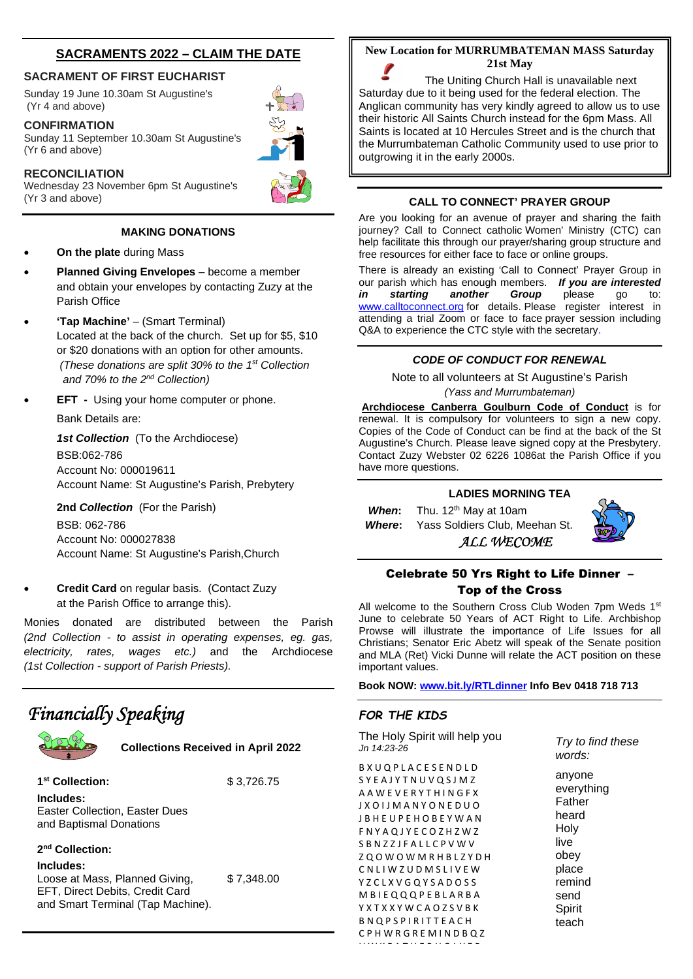# **SACRAMENTS 2022 – CLAIM THE DATE**

#### **SACRAMENT OF FIRST EUCHARIST**

Sunday 19 June 10.30am St Augustine's (Yr 4 and above)

#### **CONFIRMATION**

Sunday 11 September 10.30am St Augustine's (Yr 6 and above)

#### **RECONCILIATION**

Wednesday 23 November 6pm St Augustine's (Yr 3 and above)

#### **MAKING DONATIONS**

- **On the plate** during Mass
- **Planned Giving Envelopes** become a member and obtain your envelopes by contacting Zuzy at the Parish Office
- **'Tap Machine'** (Smart Terminal) Located at the back of the church. Set up for \$5, \$10 or \$20 donations with an option for other amounts. *(These donations are split 30% to the 1st Collection and 70% to the 2nd Collection)*
- **EFT** Using your home computer or phone.

Bank Details are:

*1st Collection* (To the Archdiocese) BSB:062-786 Account No: 000019611 Account Name: St Augustine's Parish, Prebytery

**2nd** *Collection* (For the Parish)

BSB: 062-786 Account No: 000027838 Account Name: St Augustine's Parish,Church

 **Credit Card** on regular basis. (Contact Zuzy at the Parish Office to arrange this).

Monies donated are distributed between the Parish *(2nd Collection - to assist in operating expenses, eg. gas, electricity, rates, wages etc.)* and the Archdiocese *(1st Collection - support of Parish Priests).*

# *Financially Speaking*



**Collections Received in April 2022**

**1 st Collection:** \$ 3,726.75 **Includes:** Easter Collection, Easter Dues and Baptismal Donations

**2 nd Collection:** 

**Includes:** Loose at Mass, Planned Giving, \$7,348.00 EFT, Direct Debits, Credit Card and Smart Terminal (Tap Machine).

#### **New Location for MURRUMBATEMAN MASS Saturday 21st May**

The Uniting Church Hall is unavailable next Saturday due to it being used for the federal election. The Anglican community has very kindly agreed to allow us to use their historic All Saints Church instead for the 6pm Mass. All Saints is located at 10 Hercules Street and is the church that the Murrumbateman Catholic Community used to use prior to outgrowing it in the early 2000s.

#### **CALL TO CONNECT' PRAYER GROUP**

Are you looking for an avenue of prayer and sharing the faith journey? Call to Connect catholic Women' Ministry (CTC) can help facilitate this through our prayer/sharing group structure and free resources for either face to face or online groups.

There is already an existing 'Call to Connect' Prayer Group in our parish which has enough members. *If you are interested in starting another Group* please go to: www.calltoconnect.org for details. Please register interest in attending a trial Zoom or face to face prayer session including Q&A to experience the CTC style with the secretary.

#### *CODE OF CONDUCT FOR RENEWAL*

Note to all volunteers at St Augustine's Parish *(Yass and Murrumbateman)* 

**Archdiocese Canberra Goulburn Code of Conduct** is for renewal. It is compulsory for volunteers to sign a new copy. Copies of the Code of Conduct can be find at the back of the St Augustine's Church. Please leave signed copy at the Presbytery. Contact Zuzy Webster 02 6226 1086at the Parish Office if you have more questions.

#### **LADIES MORNING TEA**

 *ALL WECOME* 

*When*: Thu. 12<sup>th</sup> May at 10am  *Where***:** Yass Soldiers Club, Meehan St.

### Celebrate 50 Yrs Right to Life Dinner – Top of the Cross

All welcome to the Southern Cross Club Woden 7pm Weds 1st June to celebrate 50 Years of ACT Right to Life. Archbishop Prowse will illustrate the importance of Life Issues for all Christians; Senator Eric Abetz will speak of the Senate position and MLA (Ret) Vicki Dunne will relate the ACT position on these important values.

**Book NOW: www.bit.ly/RTLdinner Info Bev 0418 718 713** 

## *FOR THE KIDS*

The Holy Spirit will help you *Jn 14:23-26* B X U Q P L A C E S E N D L D S Y E A J Y T N U V Q S J M Z A A W E V E R Y T H I N G F X J X O I J M A N Y O N E D U O J B H E U P E H O B E Y W A N F N Y A Q J Y E C O Z H Z W Z S B N Z Z J F A L L C P V W V Z Q O W O W M R H B L Z Y D H C N L I W Z U D M S L I V E W YZCLXVGQYSADOSS M B I E Q Q Q P E B L A R B A Y X T X X Y W C A O Z S V B K **B N Q P S P I R I T T E A C H** C P H W R G R E M I N D B Q Z U W K F A T H E R H O L Y E R

*Try to find these words:* 

anyone everything Father heard Holy live obey place remind send Spirit teach